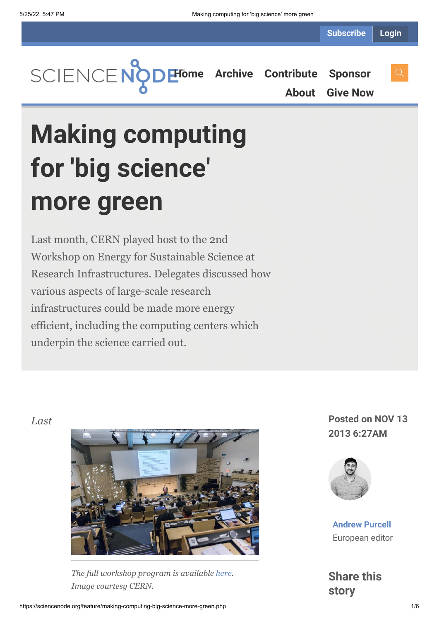**[Home](https://sciencenode.org/) [Archive](https://sciencenode.org/archive/index.php) [Contribute](https://sciencenode.org/contribute/index.php) [Sponsor](https://sciencenode.org/sponsor/index.php)**

**[About](https://sciencenode.org/about/index.php) [Give Now](https://sciencenode.org/donate/index.php)**

# **Making computing for 'big science' more green**

Last month, CERN played host to the 2nd Workshop on Energy for Sustainable Science at Research Infrastructures. Delegates discussed how various aspects of large-scale research infrastructures could be made more energy efficient, including the computing centers which underpin the science carried out.



*The full workshop program is available [here](http://indico.cern.ch/conferenceOtherViews.py?view=standard&confId=245432). Image courtesy CERN.*

*Last* **Posted on NOV 13 2013 6:27AM**



**[Andrew Purcell](https://sciencenode.org/author/andrew-purcell.php)** European editor

**Share this story**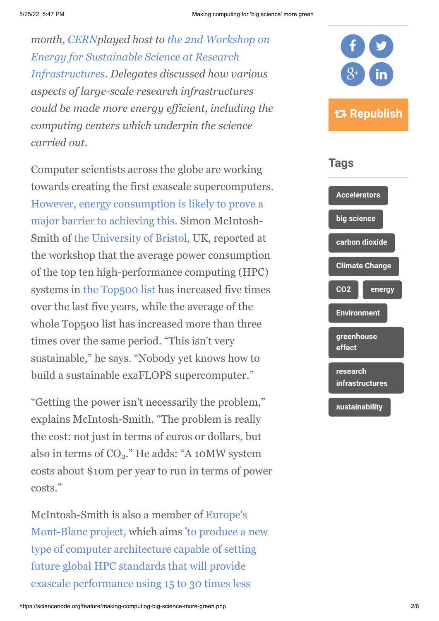*month, [CERN](http://home.web.cern.ch/)played host to the 2nd Workshop on Energy for Sustainable Science at Research [Infrastructures. Delegates discussed how various](http://indico.cern.ch/conferenceOtherViews.py?view=standard&confId=245432) aspects of large-scale research infrastructures could be made more energy efficient, including the computing centers which underpin the science carried out.*

Computer scientists across the globe are working towards creating the first exascale supercomputers. [However, energy consumption is likely to prove a](http://www.isgtw.org/feature/gaming-tech-key-green-hpc) major barrier to achieving this. Simon McIntosh-Smith of [the University of Bristol,](http://www.bris.ac.uk/) UK, reported at the workshop that the average power consumption of the top ten high-performance computing (HPC) systems in [the Top500 list](http://www.top500.org/lists/) has increased five times over the last five years, while the average of the whole Top500 list has increased more than three times over the same period. "This isn't very sustainable," he says. "Nobody yet knows how to build a sustainable exaFLOPS supercomputer."

"Getting the power isn't necessarily the problem," explains McIntosh-Smith. "The problem is really the cost: not just in terms of euros or dollars, but also in terms of  $CO_2$ ." He adds: "A 10MW system costs about \$10m per year to run in terms of power costs."

[McIntosh-Smith is also a member of Europe's](http://www.montblanc-project.eu/) [Mont-Blanc project, which aims 'to produce a new](http://www.montblanc-project.eu/project/objectives) type of computer architecture capable of setting future global HPC standards that will provide exascale performance using 15 to 30 times less



### **Tags**

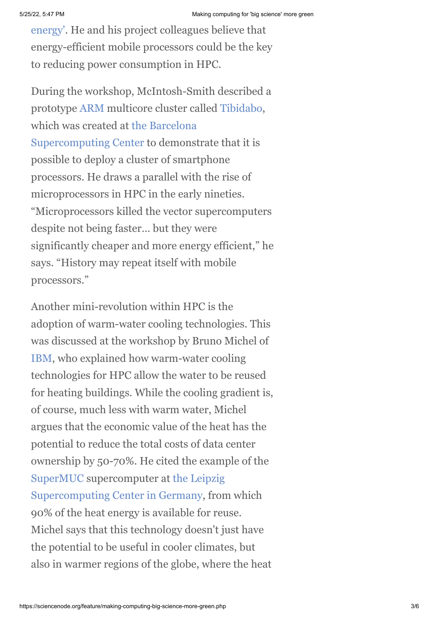[energy'. He and his project colleagues believe that](http://www.montblanc-project.eu/project/objectives) energy-efficient mobile processors could be the key to reducing power consumption in HPC.

During the workshop, McIntosh-Smith described a prototype [ARM](http://en.wikipedia.org/wiki/ARM_architecture) multicore cluster called [Tibidabo,](http://www.bsc.es/marenostrum-support-services/tibidabo-prototype) [which was created at the Barcelona](http://www.bsc.es/es) Supercomputing Center to demonstrate that it is possible to deploy a cluster of smartphone processors. He draws a parallel with the rise of microprocessors in HPC in the early nineties. "Microprocessors killed the vector supercomputers despite not being faster… but they were significantly cheaper and more energy efficient," he says. "History may repeat itself with mobile processors."

Another mini-revolution within HPC is the adoption of warm-water cooling technologies. This was discussed at the workshop by Bruno Michel of [IBM](http://www.research.ibm.com/), who explained how warm-water cooling technologies for HPC allow the water to be reused for heating buildings. While the cooling gradient is, of course, much less with warm water, Michel argues that the economic value of the heat has the potential to reduce the total costs of data center ownership by 50-70%. He cited the example of the [SuperMUC](http://www.lrz.de/services/compute/supermuc/) supercomputer at the Leipzig [Supercomputing Center in Germany, from](http://www.lrz.de/english/) which 90% of the heat energy is available for reuse. Michel says that this technology doesn't just have the potential to be useful in cooler climates, but also in warmer regions of the globe, where the heat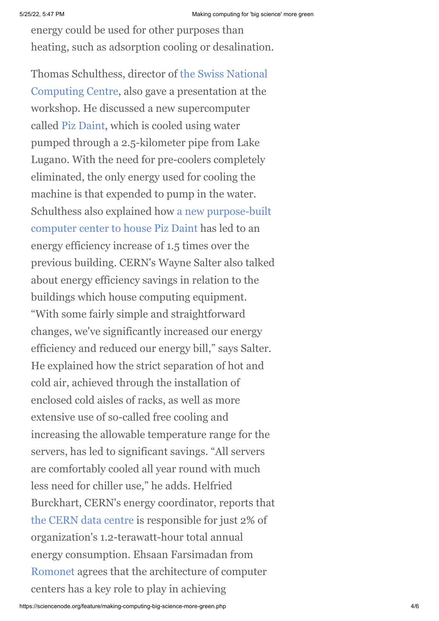energy could be used for other purposes than heating, such as adsorption cooling or desalination.

[Thomas Schulthess, director of the Swiss National](http://www.cscs.ch/) Computing Centre, also gave a presentation at the workshop. He discussed a new supercomputer called [Piz Daint](http://www.cscs.ch/index.php?id=679), which is cooled using water pumped through a 2.5-kilometer pipe from Lake Lugano. With the need for pre-coolers completely eliminated, the only energy used for cooling the machine is that expended to pump in the water. [Schulthess also explained how a new purpose-built](http://www.cscs.ch/newsroom/cscs/2012/movetolugano/) computer center to house Piz Daint has led to an energy efficiency increase of 1.5 times over the previous building. CERN's Wayne Salter also talked about energy efficiency savings in relation to the buildings which house computing equipment. "With some fairly simple and straightforward changes, we've significantly increased our energy efficiency and reduced our energy bill," says Salter. He explained how the strict separation of hot and cold air, achieved through the installation of enclosed cold aisles of racks, as well as more extensive use of so-called free cooling and increasing the allowable temperature range for the servers, has led to significant savings. "All servers are comfortably cooled all year round with much less need for chiller use," he adds. Helfried Burckhart, CERN's energy coordinator, reports that [the CERN data centre](http://information-technology.web.cern.ch/about/computer-centre) is responsible for just 2% of organization's 1.2-terawatt-hour total annual energy consumption. Ehsaan Farsimadan from [Romonet](http://www.romonet.com/) agrees that the architecture of computer centers has a key role to play in achieving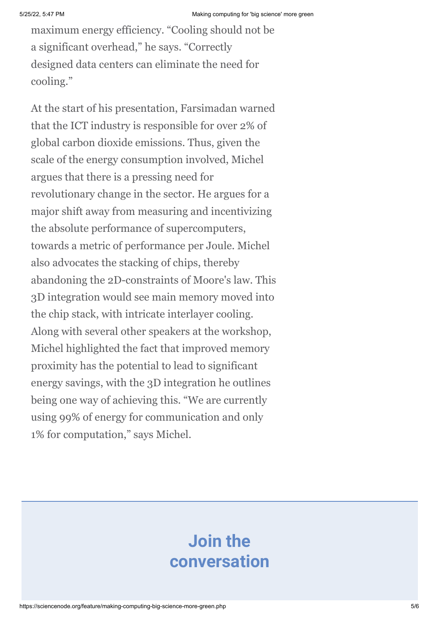maximum energy efficiency. "Cooling should not be a significant overhead," he says. "Correctly designed data centers can eliminate the need for cooling."

At the start of his presentation, Farsimadan warned that the ICT industry is responsible for over 2% of global carbon dioxide emissions. Thus, given the scale of the energy consumption involved, Michel argues that there is a pressing need for revolutionary change in the sector. He argues for a major shift away from measuring and incentivizing the absolute performance of supercomputers, towards a metric of performance per Joule. Michel also advocates the stacking of chips, thereby abandoning the 2D-constraints of Moore's law. This 3D integration would see main memory moved into the chip stack, with intricate interlayer cooling. Along with several other speakers at the workshop, Michel highlighted the fact that improved memory proximity has the potential to lead to significant energy savings, with the 3D integration he outlines being one way of achieving this. "We are currently using 99% of energy for communication and only 1% for computation," says Michel.

# **Join the conversation**